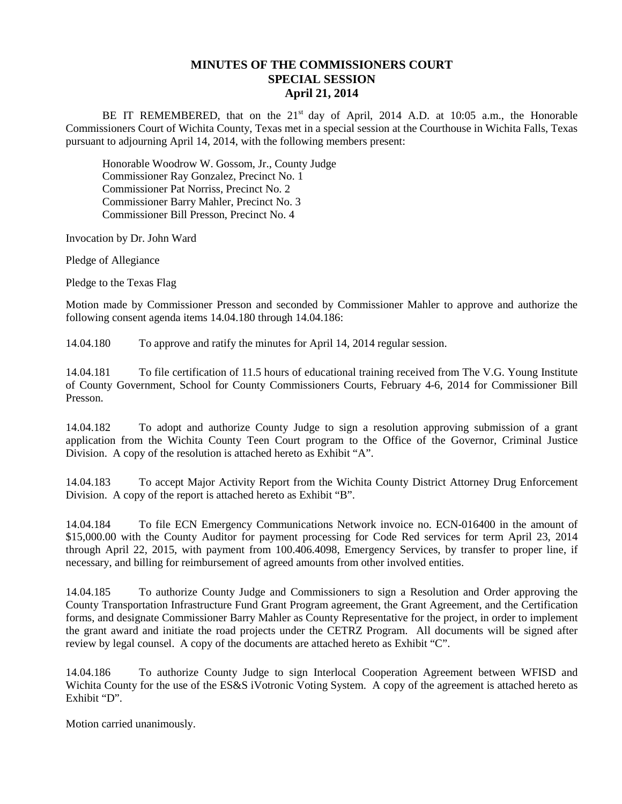## **MINUTES OF THE COMMISSIONERS COURT SPECIAL SESSION April 21, 2014**

BE IT REMEMBERED, that on the 21<sup>st</sup> day of April, 2014 A.D. at 10:05 a.m., the Honorable Commissioners Court of Wichita County, Texas met in a special session at the Courthouse in Wichita Falls, Texas pursuant to adjourning April 14, 2014, with the following members present:

Honorable Woodrow W. Gossom, Jr., County Judge Commissioner Ray Gonzalez, Precinct No. 1 Commissioner Pat Norriss, Precinct No. 2 Commissioner Barry Mahler, Precinct No. 3 Commissioner Bill Presson, Precinct No. 4

Invocation by Dr. John Ward

Pledge of Allegiance

Pledge to the Texas Flag

Motion made by Commissioner Presson and seconded by Commissioner Mahler to approve and authorize the following consent agenda items 14.04.180 through 14.04.186:

14.04.180 To approve and ratify the minutes for April 14, 2014 regular session.

14.04.181 To file certification of 11.5 hours of educational training received from The V.G. Young Institute of County Government, School for County Commissioners Courts, February 4-6, 2014 for Commissioner Bill Presson.

14.04.182 To adopt and authorize County Judge to sign a resolution approving submission of a grant application from the Wichita County Teen Court program to the Office of the Governor, Criminal Justice Division. A copy of the resolution is attached hereto as Exhibit "A".

14.04.183 To accept Major Activity Report from the Wichita County District Attorney Drug Enforcement Division. A copy of the report is attached hereto as Exhibit "B".

14.04.184 To file ECN Emergency Communications Network invoice no. ECN-016400 in the amount of \$15,000.00 with the County Auditor for payment processing for Code Red services for term April 23, 2014 through April 22, 2015, with payment from 100.406.4098, Emergency Services, by transfer to proper line, if necessary, and billing for reimbursement of agreed amounts from other involved entities.

14.04.185 To authorize County Judge and Commissioners to sign a Resolution and Order approving the County Transportation Infrastructure Fund Grant Program agreement, the Grant Agreement, and the Certification forms, and designate Commissioner Barry Mahler as County Representative for the project, in order to implement the grant award and initiate the road projects under the CETRZ Program. All documents will be signed after review by legal counsel. A copy of the documents are attached hereto as Exhibit "C".

14.04.186 To authorize County Judge to sign Interlocal Cooperation Agreement between WFISD and Wichita County for the use of the ES&S iVotronic Voting System. A copy of the agreement is attached hereto as Exhibit "D".

Motion carried unanimously.